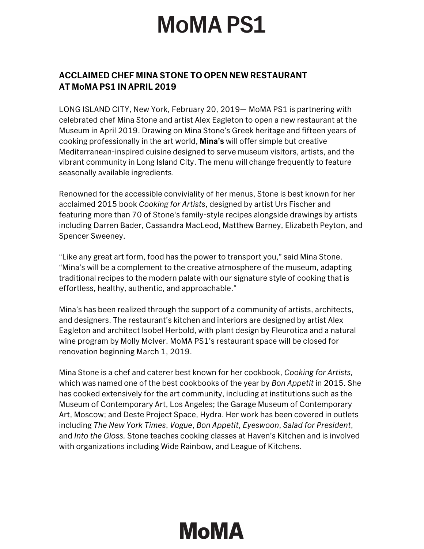## **MoMAPS1**

## **ACCLAIMED CHEF MINA STONE TO OPEN NEW RESTAURANT AT MoMA PS1 IN APRIL 2019**

LONG ISLAND CITY, New York, February 20, 2019— MoMA PS1 is partnering with celebrated chef Mina Stone and artist Alex Eagleton to open a new restaurant at the Museum in April 2019. Drawing on Mina Stone's Greek heritage and fifteen years of cooking professionally in the art world, **Mina's** will offer simple but creative Mediterranean-inspired cuisine designed to serve museum visitors, artists, and the vibrant community in Long Island City. The menu will change frequently to feature seasonally available ingredients.

Renowned for the accessible conviviality of her menus, Stone is best known for her acclaimed 2015 book *Cooking for Artists*, designed by artist Urs Fischer and featuring more than 70 of Stone's family-style recipes alongside drawings by artists including Darren Bader, Cassandra MacLeod, Matthew Barney, Elizabeth Peyton, and Spencer Sweeney.

"Like any great art form, food has the power to transport you," said Mina Stone. "Mina's will be a complement to the creative atmosphere of the museum, adapting traditional recipes to the modern palate with our signature style of cooking that is effortless, healthy, authentic, and approachable."

Mina's has been realized through the support of a community of artists, architects, and designers. The restaurant's kitchen and interiors are designed by artist Alex Eagleton and architect Isobel Herbold, with plant design by Fleurotica and a natural wine program by Molly McIver. MoMA PS1's restaurant space will be closed for renovation beginning March 1, 2019.

Mina Stone is a chef and caterer best known for her cookbook, *Cooking for Artists,* which was named one of the best cookbooks of the year by *Bon Appetit* in 2015. She has cooked extensively for the art community, including at institutions such as the Museum of Contemporary Art, Los Angeles; the Garage Museum of Contemporary Art, Moscow; and Deste Project Space, Hydra. Her work has been covered in outlets including *The New York Times*, *Vogue*, *Bon Appetit*, *Eyeswoon*, *Salad for President*, and *Into the Gloss.* Stone teaches cooking classes at Haven's Kitchen and is involved with organizations including Wide Rainbow, and League of Kitchens.

## **MoMA**